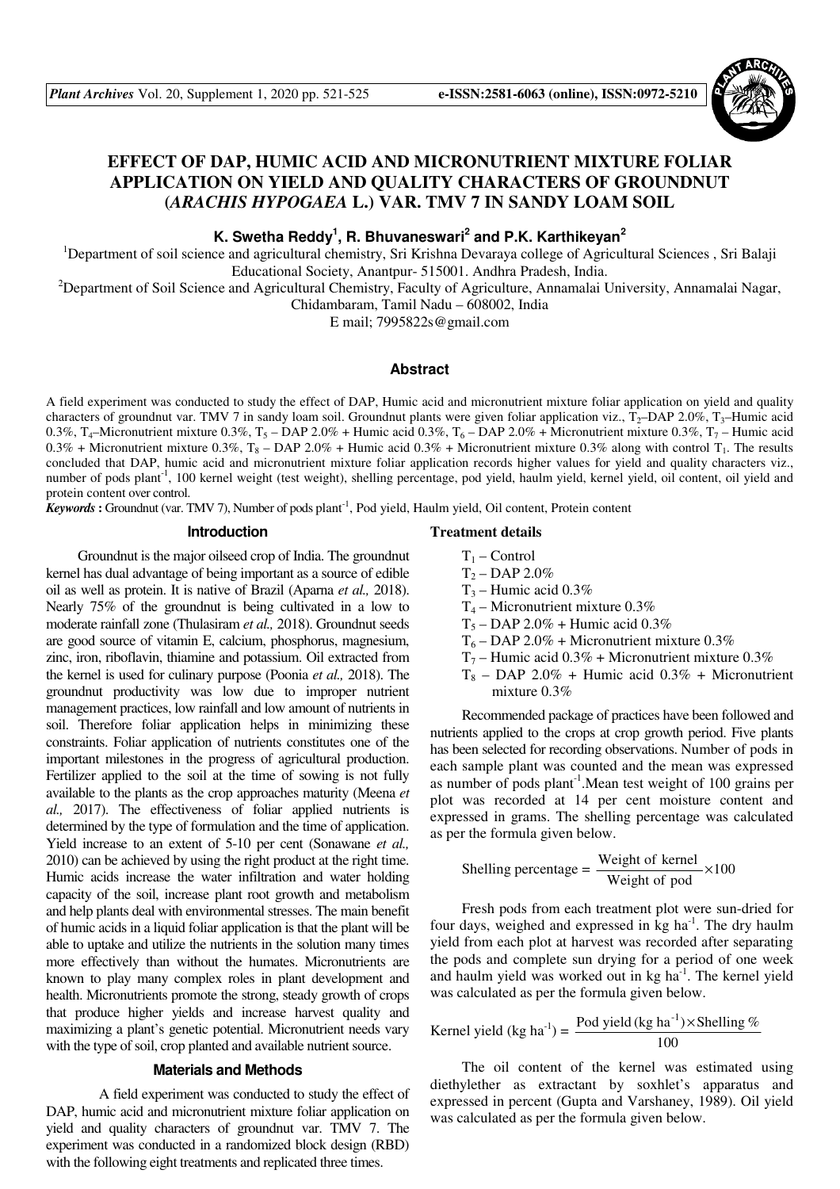

# **EFFECT OF DAP, HUMIC ACID AND MICRONUTRIENT MIXTURE FOLIAR APPLICATION ON YIELD AND QUALITY CHARACTERS OF GROUNDNUT (***ARACHIS HYPOGAEA* **L.) VAR. TMV 7 IN SANDY LOAM SOIL**

**K. Swetha Reddy<sup>1</sup> , R. Bhuvaneswari<sup>2</sup> and P.K. Karthikeyan<sup>2</sup>**

<sup>1</sup>Department of soil science and agricultural chemistry, Sri Krishna Devaraya college of Agricultural Sciences, Sri Balaji Educational Society, Anantpur- 515001. Andhra Pradesh, India.

<sup>2</sup>Department of Soil Science and Agricultural Chemistry, Faculty of Agriculture, Annamalai University, Annamalai Nagar,

Chidambaram, Tamil Nadu – 608002, India

E mail; 7995822s@gmail.com

## **Abstract**

A field experiment was conducted to study the effect of DAP, Humic acid and micronutrient mixture foliar application on yield and quality characters of groundnut var. TMV 7 in sandy loam soil. Groundnut plants were given foliar application viz.,  $T_2$ –DAP 2.0%,  $T_3$ –Humic acid 0.3%, T<sub>4</sub>–Micronutrient mixture 0.3%, T<sub>5</sub> – DAP 2.0% + Humic acid 0.3%, T<sub>6</sub> – DAP 2.0% + Micronutrient mixture 0.3%, T<sub>7</sub> – Humic acid  $0.3\%$  + Micronutrient mixture  $0.3\%$ , T<sub>8</sub> – DAP 2.0% + Humic acid  $0.3\%$  + Micronutrient mixture 0.3% along with control T<sub>1</sub>. The results concluded that DAP, humic acid and micronutrient mixture foliar application records higher values for yield and quality characters viz., number of pods plant<sup>-1</sup>, 100 kernel weight (test weight), shelling percentage, pod yield, haulm yield, kernel yield, oil content, oil yield and protein content over control.

*Keywords* : Groundnut (var. TMV 7), Number of pods plant<sup>-1</sup>, Pod yield, Haulm yield, Oil content, Protein content

## **Introduction**

Groundnut is the major oilseed crop of India. The groundnut kernel has dual advantage of being important as a source of edible oil as well as protein. It is native of Brazil (Aparna *et al.,* 2018). Nearly 75% of the groundnut is being cultivated in a low to moderate rainfall zone (Thulasiram *et al.,* 2018). Groundnut seeds are good source of vitamin E, calcium, phosphorus, magnesium, zinc, iron, riboflavin, thiamine and potassium. Oil extracted from the kernel is used for culinary purpose (Poonia *et al.,* 2018). The groundnut productivity was low due to improper nutrient management practices, low rainfall and low amount of nutrients in soil. Therefore foliar application helps in minimizing these constraints. Foliar application of nutrients constitutes one of the important milestones in the progress of agricultural production. Fertilizer applied to the soil at the time of sowing is not fully available to the plants as the crop approaches maturity (Meena *et al.,* 2017). The effectiveness of foliar applied nutrients is determined by the type of formulation and the time of application. Yield increase to an extent of 5-10 per cent (Sonawane *et al.,* 2010) can be achieved by using the right product at the right time. Humic acids increase the water infiltration and water holding capacity of the soil, increase plant root growth and metabolism and help plants deal with environmental stresses. The main benefit of humic acids in a liquid foliar application is that the plant will be able to uptake and utilize the nutrients in the solution many times more effectively than without the humates. Micronutrients are known to play many complex roles in plant development and health. Micronutrients promote the strong, steady growth of crops that produce higher yields and increase harvest quality and maximizing a plant's genetic potential. Micronutrient needs vary with the type of soil, crop planted and available nutrient source.

#### **Materials and Methods**

 A field experiment was conducted to study the effect of DAP, humic acid and micronutrient mixture foliar application on yield and quality characters of groundnut var. TMV 7. The experiment was conducted in a randomized block design (RBD) with the following eight treatments and replicated three times.

### **Treatment details**

- $T_1$  Control
- $T_2 DAP 2.0%$
- $T_3$  Humic acid 0.3%
- $T_4$  Micronutrient mixture 0.3%
- $T_5$  DAP 2.0% + Humic acid 0.3%
- $T_6$  DAP 2.0% + Micronutrient mixture 0.3%
- $T_7$  Humic acid 0.3% + Micronutrient mixture 0.3%
- $T_8$  DAP 2.0% + Humic acid 0.3% + Micronutrient mixture 0.3%

Recommended package of practices have been followed and nutrients applied to the crops at crop growth period. Five plants has been selected for recording observations. Number of pods in each sample plant was counted and the mean was expressed as number of pods plant-1.Mean test weight of 100 grains per plot was recorded at 14 per cent moisture content and expressed in grams. The shelling percentage was calculated as per the formula given below.

Shelling percentage = 
$$
\frac{\text{Weight of kernel}}{\text{Weight of pod}} \times 100
$$

Fresh pods from each treatment plot were sun-dried for four days, weighed and expressed in  $kg$  ha<sup>-1</sup>. The dry haulm yield from each plot at harvest was recorded after separating the pods and complete sun drying for a period of one week and haulm yield was worked out in kg ha<sup>-1</sup>. The kernel yield was calculated as per the formula given below.

Kernel yield (kg ha<sup>-1</sup>) =  $\frac{\text{Pod yield (kg ha}^{-1}) \times \text{Shelling }\%}{\text{Log}}$ 100

The oil content of the kernel was estimated using diethylether as extractant by soxhlet's apparatus and expressed in percent (Gupta and Varshaney, 1989). Oil yield was calculated as per the formula given below.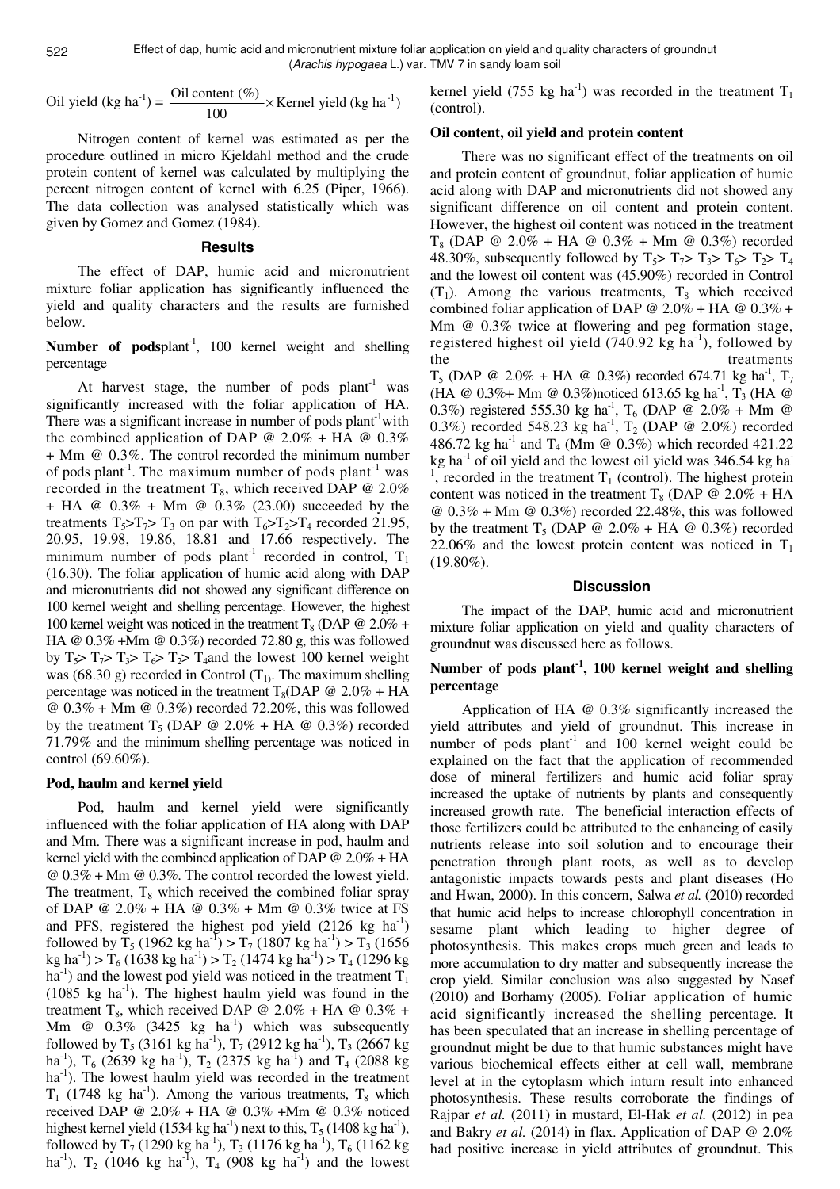Effect of dap, humic acid and micronutrient mixture foliar application on yield and quality characters of groundnut (Arachis hypogaea L.) var. TMV 7 in sandy loam soil

Oil yield (kg ha<sup>-1</sup>) = 
$$
\frac{\text{Oil content } (\%)}{100} \times \text{Kernel yield (kg ha-1)}
$$

Nitrogen content of kernel was estimated as per the procedure outlined in micro Kjeldahl method and the crude protein content of kernel was calculated by multiplying the percent nitrogen content of kernel with 6.25 (Piper, 1966). The data collection was analysed statistically which was given by Gomez and Gomez (1984).

## **Results**

The effect of DAP, humic acid and micronutrient mixture foliar application has significantly influenced the yield and quality characters and the results are furnished below.

Number of podsplant<sup>-1</sup>, 100 kernel weight and shelling percentage

At harvest stage, the number of pods  $plant<sup>-1</sup>$  was significantly increased with the foliar application of HA. There was a significant increase in number of pods  $plant<sup>-1</sup> with$ the combined application of DAP  $\omega$  2.0% + HA  $\omega$  0.3% + Mm @ 0.3%. The control recorded the minimum number of pods plant<sup>-1</sup>. The maximum number of pods plant<sup>-1</sup> was recorded in the treatment T<sub>8</sub>, which received DAP  $@$  2.0% + HA @ 0.3% + Mm @ 0.3% (23.00) succeeded by the treatments  $T_5 > T_7 > T_3$  on par with  $T_6 > T_2 > T_4$  recorded 21.95, 20.95, 19.98, 19.86, 18.81 and 17.66 respectively. The minimum number of pods plant<sup>-1</sup> recorded in control,  $T_1$ (16.30). The foliar application of humic acid along with DAP and micronutrients did not showed any significant difference on 100 kernel weight and shelling percentage. However, the highest 100 kernel weight was noticed in the treatment  $T_8$  (DAP @ 2.0% + HA @ 0.3% +Mm @ 0.3%) recorded 72.80 g, this was followed by  $T_5$ >  $T_7$ >  $T_3$ >  $T_6$ >  $T_2$ >  $T_4$  and the lowest 100 kernel weight was (68.30 g) recorded in Control  $(T_1)$ . The maximum shelling percentage was noticed in the treatment  $T_8(DAP \tQ 2.0\% + HA$  $\omega$  0.3% + Mm  $\omega$  0.3%) recorded 72.20%, this was followed by the treatment  $T_5$  (DAP @ 2.0% + HA @ 0.3%) recorded 71.79% and the minimum shelling percentage was noticed in control (69.60%).

#### **Pod, haulm and kernel yield**

Pod, haulm and kernel yield were significantly influenced with the foliar application of HA along with DAP and Mm. There was a significant increase in pod, haulm and kernel yield with the combined application of DAP  $\omega$  2.0% + HA @ 0.3% + Mm @ 0.3%. The control recorded the lowest yield. The treatment,  $T_8$  which received the combined foliar spray of DAP @ 2.0% + HA @ 0.3% + Mm @ 0.3% twice at FS and PFS, registered the highest pod yield  $(2126 \text{ kg } \text{ha}^{-1})$ followed by T<sub>5</sub> (1962 kg ha<sup>-1</sup>) > T<sub>7</sub> (1807 kg ha<sup>-1</sup>) > T<sub>3</sub> (1656 kg ha<sup>-1</sup>) > T<sub>6</sub> (1638 kg ha<sup>-1</sup>) > T<sub>2</sub> (1474 kg ha<sup>-1</sup>) > T<sub>4</sub> (1296 kg  $ha^{-1}$ ) and the lowest pod yield was noticed in the treatment  $T_1$  $(1085 \text{ kg} \text{ ha}^{-1})$ . The highest haulm yield was found in the treatment T<sub>8</sub>, which received DAP @ 2.0% + HA @ 0.3% + Mm  $@$  0.3% (3425 kg ha<sup>-1</sup>) which was subsequently followed by T<sub>5</sub> (3161 kg ha<sup>-1</sup>), T<sub>7</sub> (2912 kg ha<sup>-1</sup>), T<sub>3</sub> (2667 kg ha<sup>-1</sup>), T<sub>6</sub> (2639 kg ha<sup>-1</sup>), T<sub>2</sub> (2375 kg ha<sup>-1</sup>) and T<sub>4</sub> (2088 kg ha<sup>-1</sup>). The lowest haulm yield was recorded in the treatment  $T_1$  (1748 kg ha<sup>-1</sup>). Among the various treatments,  $T_8$  which received DAP @ 2.0% + HA @ 0.3% +Mm @ 0.3% noticed highest kernel yield (1534 kg ha<sup>-1</sup>) next to this,  $T_5$  (1408 kg ha<sup>-1</sup>), followed by  $T_7$  (1290 kg ha<sup>-1</sup>),  $T_3$  (1176 kg ha<sup>-1</sup>),  $T_6$  (1162 kg ha<sup>-1</sup>),  $T_2$  (1046 kg ha<sup>-1</sup>),  $T_4$  (908 kg ha<sup>-1</sup>) and the lowest kernel yield (755 kg ha<sup>-1</sup>) was recorded in the treatment  $T_1$ (control).

#### **Oil content, oil yield and protein content**

There was no significant effect of the treatments on oil and protein content of groundnut, foliar application of humic acid along with DAP and micronutrients did not showed any significant difference on oil content and protein content. However, the highest oil content was noticed in the treatment  $T_8$  (DAP @ 2.0% + HA @ 0.3% + Mm @ 0.3%) recorded 48.30%, subsequently followed by  $T_5$ >  $T_7$ >  $T_3$ >  $T_6$ >  $T_2$ >  $T_4$ and the lowest oil content was (45.90%) recorded in Control  $(T_1)$ . Among the various treatments,  $T_8$  which received combined foliar application of DAP  $\omega$  2.0% + HA  $\omega$  0.3% + Mm @ 0.3% twice at flowering and peg formation stage, registered highest oil yield  $(740.92 \text{ kg ha}^{-1})$ , followed by the treatments  $T_5$  (DAP @ 2.0% + HA @ 0.3%) recorded 674.71 kg ha<sup>-1</sup>,  $T_7$ 

(HA @ 0.3%+ Mm @ 0.3%)noticed 613.65 kg ha<sup>-1</sup>, T<sub>3</sub> (HA @ 0.3%) registered 555.30 kg ha<sup>-1</sup>, T<sub>6</sub> (DAP @ 2.0% + Mm @ 0.3%) recorded 548.23 kg ha<sup>-1</sup>,  $T_2$  (DAP @ 2.0%) recorded 486.72 kg ha<sup>-1</sup> and T<sub>4</sub> (Mm @ 0.3%) which recorded 421.22 kg ha $^{-1}$  of oil yield and the lowest oil yield was 346.54 kg ha $^{-1}$ <sup>1</sup>, recorded in the treatment  $T_1$  (control). The highest protein content was noticed in the treatment  $T_8$  (DAP @ 2.0% + HA  $\omega$  0.3% + Mm  $\omega$  0.3%) recorded 22.48%, this was followed by the treatment  $T_5$  (DAP @ 2.0% + HA @ 0.3%) recorded 22.06% and the lowest protein content was noticed in  $T_1$ (19.80%).

#### **Discussion**

The impact of the DAP, humic acid and micronutrient mixture foliar application on yield and quality characters of groundnut was discussed here as follows.

## **Number of pods plant-1, 100 kernel weight and shelling percentage**

Application of HA @ 0.3% significantly increased the yield attributes and yield of groundnut. This increase in number of pods  $plant^{-1}$  and 100 kernel weight could be explained on the fact that the application of recommended dose of mineral fertilizers and humic acid foliar spray increased the uptake of nutrients by plants and consequently increased growth rate. The beneficial interaction effects of those fertilizers could be attributed to the enhancing of easily nutrients release into soil solution and to encourage their penetration through plant roots, as well as to develop antagonistic impacts towards pests and plant diseases (Ho and Hwan, 2000). In this concern, Salwa *et al.* (2010) recorded that humic acid helps to increase chlorophyll concentration in sesame plant which leading to higher degree of photosynthesis. This makes crops much green and leads to more accumulation to dry matter and subsequently increase the crop yield. Similar conclusion was also suggested by Nasef (2010) and Borhamy (2005). Foliar application of humic acid significantly increased the shelling percentage. It has been speculated that an increase in shelling percentage of groundnut might be due to that humic substances might have various biochemical effects either at cell wall, membrane level at in the cytoplasm which inturn result into enhanced photosynthesis. These results corroborate the findings of Rajpar *et al.* (2011) in mustard, El-Hak *et al.* (2012) in pea and Bakry *et al.* (2014) in flax. Application of DAP @ 2.0% had positive increase in yield attributes of groundnut. This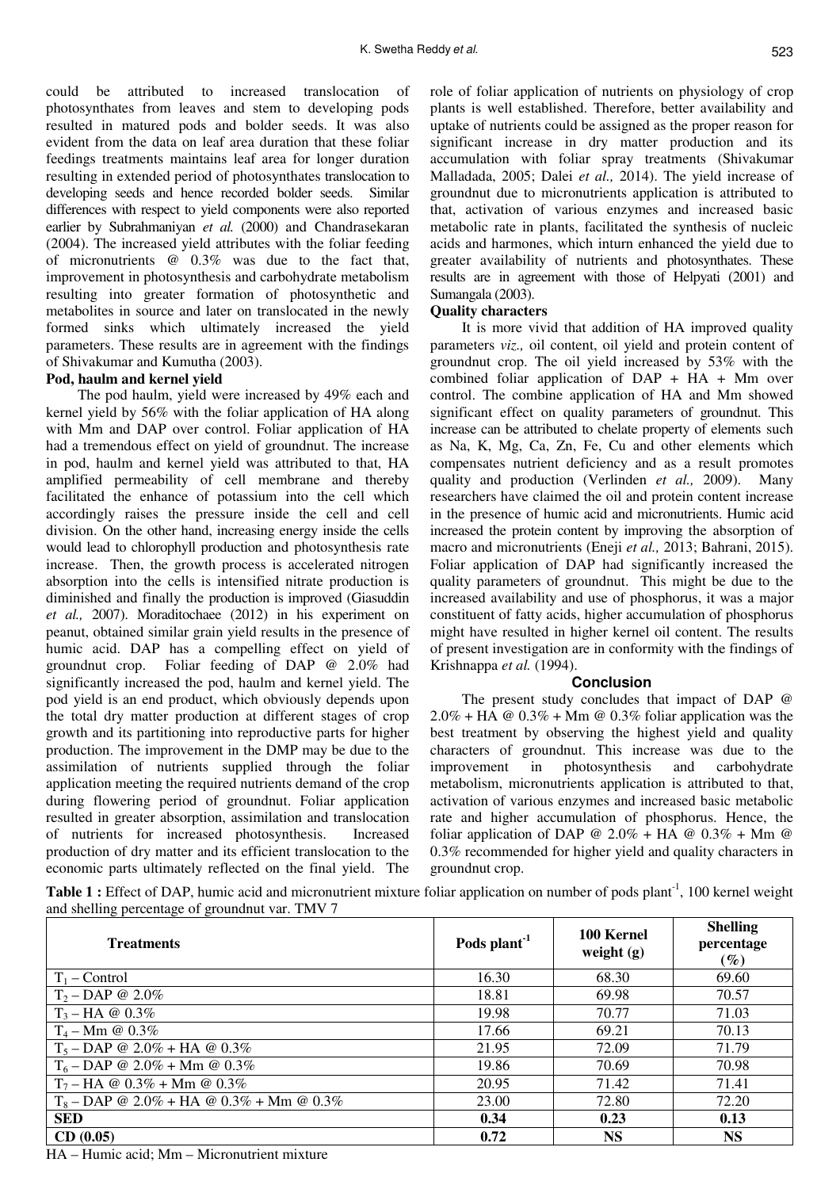could be attributed to increased translocation of photosynthates from leaves and stem to developing pods resulted in matured pods and bolder seeds. It was also evident from the data on leaf area duration that these foliar feedings treatments maintains leaf area for longer duration resulting in extended period of photosynthates translocation to developing seeds and hence recorded bolder seeds. Similar differences with respect to yield components were also reported earlier by Subrahmaniyan *et al.* (2000) and Chandrasekaran (2004). The increased yield attributes with the foliar feeding of micronutrients @ 0.3% was due to the fact that, improvement in photosynthesis and carbohydrate metabolism resulting into greater formation of photosynthetic and metabolites in source and later on translocated in the newly formed sinks which ultimately increased the yield parameters. These results are in agreement with the findings of Shivakumar and Kumutha (2003).

## **Pod, haulm and kernel yield**

The pod haulm, yield were increased by 49% each and kernel yield by 56% with the foliar application of HA along with Mm and DAP over control. Foliar application of HA had a tremendous effect on yield of groundnut. The increase in pod, haulm and kernel yield was attributed to that, HA amplified permeability of cell membrane and thereby facilitated the enhance of potassium into the cell which accordingly raises the pressure inside the cell and cell division. On the other hand, increasing energy inside the cells would lead to chlorophyll production and photosynthesis rate increase. Then, the growth process is accelerated nitrogen absorption into the cells is intensified nitrate production is diminished and finally the production is improved (Giasuddin *et al.,* 2007). Moraditochaee (2012) in his experiment on peanut, obtained similar grain yield results in the presence of humic acid. DAP has a compelling effect on yield of groundnut crop. Foliar feeding of DAP @ 2.0% had significantly increased the pod, haulm and kernel yield. The pod yield is an end product, which obviously depends upon the total dry matter production at different stages of crop growth and its partitioning into reproductive parts for higher production. The improvement in the DMP may be due to the assimilation of nutrients supplied through the foliar application meeting the required nutrients demand of the crop during flowering period of groundnut. Foliar application resulted in greater absorption, assimilation and translocation of nutrients for increased photosynthesis. Increased production of dry matter and its efficient translocation to the economic parts ultimately reflected on the final yield. The

role of foliar application of nutrients on physiology of crop plants is well established. Therefore, better availability and uptake of nutrients could be assigned as the proper reason for significant increase in dry matter production and its accumulation with foliar spray treatments (Shivakumar Malladada, 2005; Dalei *et al.,* 2014). The yield increase of groundnut due to micronutrients application is attributed to that, activation of various enzymes and increased basic metabolic rate in plants, facilitated the synthesis of nucleic acids and harmones, which inturn enhanced the yield due to greater availability of nutrients and photosynthates. These results are in agreement with those of Helpyati (2001) and Sumangala (2003).

#### **Quality characters**

It is more vivid that addition of HA improved quality parameters *viz.,* oil content, oil yield and protein content of groundnut crop. The oil yield increased by 53% with the combined foliar application of  $DAP + HA + Mm$  over control. The combine application of HA and Mm showed significant effect on quality parameters of groundnut. This increase can be attributed to chelate property of elements such as Na, K, Mg, Ca, Zn, Fe, Cu and other elements which compensates nutrient deficiency and as a result promotes quality and production (Verlinden *et al.,* 2009). Many researchers have claimed the oil and protein content increase in the presence of humic acid and micronutrients. Humic acid increased the protein content by improving the absorption of macro and micronutrients (Eneji *et al.,* 2013; Bahrani, 2015). Foliar application of DAP had significantly increased the quality parameters of groundnut. This might be due to the increased availability and use of phosphorus, it was a major constituent of fatty acids, higher accumulation of phosphorus might have resulted in higher kernel oil content. The results of present investigation are in conformity with the findings of Krishnappa *et al.* (1994).

#### **Conclusion**

The present study concludes that impact of DAP @  $2.0\% + HA \tQ 0.3\% + Mm \tQ 0.3\%$  foliar application was the best treatment by observing the highest yield and quality characters of groundnut. This increase was due to the improvement in photosynthesis and carbohydrate metabolism, micronutrients application is attributed to that, activation of various enzymes and increased basic metabolic rate and higher accumulation of phosphorus. Hence, the foliar application of DAP @ 2.0% + HA @  $0.3\%$  + Mm @ 0.3% recommended for higher yield and quality characters in groundnut crop.

**Table 1 :** Effect of DAP, humic acid and micronutrient mixture foliar application on number of pods plant<sup>-1</sup>, 100 kernel weight and shelling percentage of groundnut var. TMV 7

| <b>Treatments</b>                          | Pods plant <sup>-1</sup> | 100 Kernel<br>weight $(g)$ | <b>Shelling</b><br>percentage<br>$(\%)$ |
|--------------------------------------------|--------------------------|----------------------------|-----------------------------------------|
| $T_1$ – Control                            | 16.30                    | 68.30                      | 69.60                                   |
| $T_2 - DAP \otimes 2.0\%$                  | 18.81                    | 69.98                      | 70.57                                   |
| $T_3 - HA \otimes 0.3\%$                   | 19.98                    | 70.77                      | 71.03                                   |
| $T_4 - Mm \; \textcircled{a} \; 0.3\%$     | 17.66                    | 69.21                      | 70.13                                   |
| $T_5 - DAP \t{0} 2.0\% + HA \t{0} 0.3\%$   | 21.95                    | 72.09                      | 71.79                                   |
| $T_6$ – DAP @ 2.0% + Mm @ 0.3%             | 19.86                    | 70.69                      | 70.98                                   |
| $T_7$ – HA @ 0.3% + Mm @ 0.3%              | 20.95                    | 71.42                      | 71.41                                   |
| $T_8$ – DAP @ 2.0% + HA @ 0.3% + Mm @ 0.3% | 23.00                    | 72.80                      | 72.20                                   |
| <b>SED</b>                                 | 0.34                     | 0.23                       | 0.13                                    |
| CD(0.05)                                   | 0.72                     | <b>NS</b>                  | <b>NS</b>                               |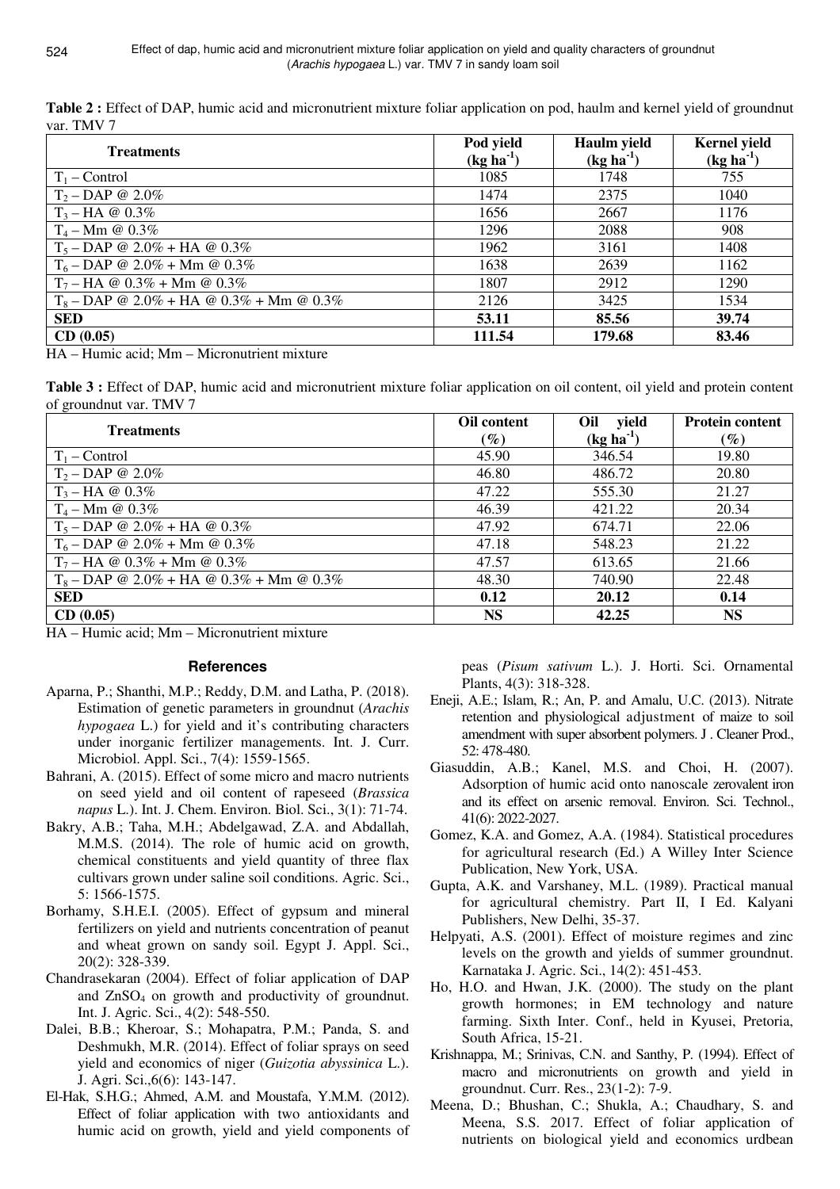**Table 2 :** Effect of DAP, humic acid and micronutrient mixture foliar application on pod, haulm and kernel yield of groundnut var. TMV 7

| <b>Treatments</b>                          | Pod yield<br>$(kg ha-1)$ | Haulm yield<br>$(kg ha-1)$ | <b>Kernel</b> yield<br>$(kg ha-1)$ |
|--------------------------------------------|--------------------------|----------------------------|------------------------------------|
| $T_1$ – Control                            | 1085                     | 1748                       | 755                                |
| $T_2 - DAP \otimes 2.0\%$                  | 1474                     | 2375                       | 1040                               |
| $T_3 - HA \otimes 0.3\%$                   | 1656                     | 2667                       | 1176                               |
| $T_4 - Mm \; \textcircled{a} \; 0.3\%$     | 1296                     | 2088                       | 908                                |
| $T_5 - DAP \t{0} 2.0\% + HA \t{0} 0.3\%$   | 1962                     | 3161                       | 1408                               |
| $T_6 - DAP \t Q 2.0\% + Mm \t Q 0.3\%$     | 1638                     | 2639                       | 1162                               |
| $T_7 - HA \tQ$ 0.3% + Mm $\tQ$ 0.3%        | 1807                     | 2912                       | 1290                               |
| $T_8$ – DAP @ 2.0% + HA @ 0.3% + Mm @ 0.3% | 2126                     | 3425                       | 1534                               |
| <b>SED</b>                                 | 53.11                    | 85.56                      | 39.74                              |
| CD(0.05)                                   | 111.54                   | 179.68                     | 83.46                              |

HA – Humic acid; Mm – Micronutrient mixture

**Table 3 :** Effect of DAP, humic acid and micronutrient mixture foliar application on oil content, oil yield and protein content of groundnut var. TMV 7

| <b>Treatments</b>                          | Oil content | Oil yield   | <b>Protein content</b> |
|--------------------------------------------|-------------|-------------|------------------------|
|                                            | $(\%)$      | $(kg ha-1)$ | $\left(\%\right)$      |
| $T_1$ – Control                            | 45.90       | 346.54      | 19.80                  |
| $T_2 - DAP \t Q \t 2.0\%$                  | 46.80       | 486.72      | 20.80                  |
| $T_3 - HA \otimes 0.3\%$                   | 47.22       | 555.30      | 21.27                  |
| $T_4 - Mm \; \textcircled{a} \; 0.3\%$     | 46.39       | 421.22      | 20.34                  |
| $T_5 - DAP \t{0} 2.0\% + HA \t{0} 0.3\%$   | 47.92       | 674.71      | 22.06                  |
| $T_6$ – DAP @ 2.0% + Mm @ 0.3%             | 47.18       | 548.23      | 21.22                  |
| $T_7 - HA \tQ$ 0.3% + Mm $\tQ$ 0.3%        | 47.57       | 613.65      | 21.66                  |
| $T_8$ – DAP @ 2.0% + HA @ 0.3% + Mm @ 0.3% | 48.30       | 740.90      | 22.48                  |
| <b>SED</b>                                 | 0.12        | 20.12       | 0.14                   |
| CD(0.05)                                   | <b>NS</b>   | 42.25       | <b>NS</b>              |

HA – Humic acid; Mm – Micronutrient mixture

## **References**

- Aparna, P.; Shanthi, M.P.; Reddy, D.M. and Latha, P. (2018). Estimation of genetic parameters in groundnut (*Arachis hypogaea* L.) for yield and it's contributing characters under inorganic fertilizer managements. Int. J. Curr. Microbiol. Appl. Sci., 7(4): 1559-1565.
- Bahrani, A. (2015). Effect of some micro and macro nutrients on seed yield and oil content of rapeseed (*Brassica napus* L.). Int. J. Chem. Environ. Biol. Sci., 3(1): 71-74.
- Bakry, A.B.; Taha, M.H.; Abdelgawad, Z.A. and Abdallah, M.M.S. (2014). The role of humic acid on growth, chemical constituents and yield quantity of three flax cultivars grown under saline soil conditions. Agric. Sci., 5: 1566-1575.
- Borhamy, S.H.E.I. (2005). Effect of gypsum and mineral fertilizers on yield and nutrients concentration of peanut and wheat grown on sandy soil. Egypt J. Appl. Sci., 20(2): 328-339.
- Chandrasekaran (2004). Effect of foliar application of DAP and ZnSO<sub>4</sub> on growth and productivity of groundnut. Int. J. Agric. Sci., 4(2): 548-550.
- Dalei, B.B.; Kheroar, S.; Mohapatra, P.M.; Panda, S. and Deshmukh, M.R. (2014). Effect of foliar sprays on seed yield and economics of niger (*Guizotia abyssinica* L.). J. Agri. Sci.,6(6): 143-147.
- El-Hak, S.H.G.; Ahmed, A.M. and Moustafa, Y.M.M. (2012). Effect of foliar application with two antioxidants and humic acid on growth, yield and yield components of

peas (*Pisum sativum* L.). J. Horti. Sci. Ornamental Plants, 4(3): 318-328.

- Eneji, A.E.; Islam, R.; An, P. and Amalu, U.C. (2013). Nitrate retention and physiological adjustment of maize to soil amendment with super absorbent polymers. J . Cleaner Prod., 52: 478-480.
- Giasuddin, A.B.; Kanel, M.S. and Choi, H. (2007). Adsorption of humic acid onto nanoscale zerovalent iron and its effect on arsenic removal. Environ. Sci. Technol., 41(6): 2022-2027.
- Gomez, K.A. and Gomez, A.A. (1984). Statistical procedures for agricultural research (Ed.) A Willey Inter Science Publication, New York, USA.
- Gupta, A.K. and Varshaney, M.L. (1989). Practical manual for agricultural chemistry. Part II, I Ed. Kalyani Publishers, New Delhi, 35-37.
- Helpyati, A.S. (2001). Effect of moisture regimes and zinc levels on the growth and yields of summer groundnut. Karnataka J. Agric. Sci., 14(2): 451-453.
- Ho, H.O. and Hwan, J.K. (2000). The study on the plant growth hormones; in EM technology and nature farming. Sixth Inter. Conf., held in Kyusei, Pretoria, South Africa, 15-21.
- Krishnappa, M.; Srinivas, C.N. and Santhy, P. (1994). Effect of macro and micronutrients on growth and yield in groundnut. Curr. Res., 23(1-2): 7-9.
- Meena, D.; Bhushan, C.; Shukla, A.; Chaudhary, S. and Meena, S.S. 2017. Effect of foliar application of nutrients on biological yield and economics urdbean